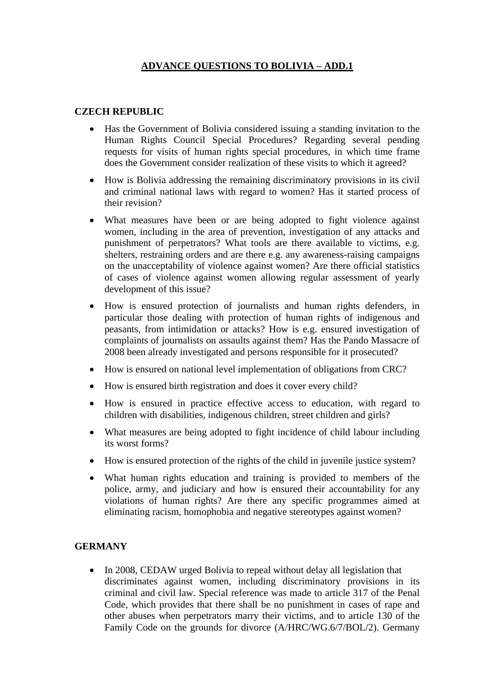## **ADVANCE QUESTIONS TO BOLIVIA – ADD.1**

## **CZECH REPUBLIC**

- Has the Government of Bolivia considered issuing a standing invitation to the Human Rights Council Special Procedures? Regarding several pending requests for visits of human rights special procedures, in which time frame does the Government consider realization of these visits to which it agreed?
- How is Bolivia addressing the remaining discriminatory provisions in its civil and criminal national laws with regard to women? Has it started process of their revision?
- What measures have been or are being adopted to fight violence against women, including in the area of prevention, investigation of any attacks and punishment of perpetrators? What tools are there available to victims, e.g. shelters, restraining orders and are there e.g. any awareness-raising campaigns on the unacceptability of violence against women? Are there official statistics of cases of violence against women allowing regular assessment of yearly development of this issue?
- How is ensured protection of journalists and human rights defenders, in particular those dealing with protection of human rights of indigenous and peasants, from intimidation or attacks? How is e.g. ensured investigation of complaints of journalists on assaults against them? Has the Pando Massacre of 2008 been already investigated and persons responsible for it prosecuted?
- How is ensured on national level implementation of obligations from CRC?
- How is ensured birth registration and does it cover every child?
- How is ensured in practice effective access to education, with regard to children with disabilities, indigenous children, street children and girls?
- What measures are being adopted to fight incidence of child labour including its worst forms?
- How is ensured protection of the rights of the child in juvenile justice system?
- What human rights education and training is provided to members of the police, army, and judiciary and how is ensured their accountability for any violations of human rights? Are there any specific programmes aimed at eliminating racism, homophobia and negative stereotypes against women?

## **GERMANY**

• In 2008, CEDAW urged Bolivia to repeal without delay all legislation that discriminates against women, including discriminatory provisions in its criminal and civil law. Special reference was made to article 317 of the Penal Code, which provides that there shall be no punishment in cases of rape and other abuses when perpetrators marry their victims, and to article 130 of the Family Code on the grounds for divorce (A/HRC/WG.6/7/BOL/2). Germany